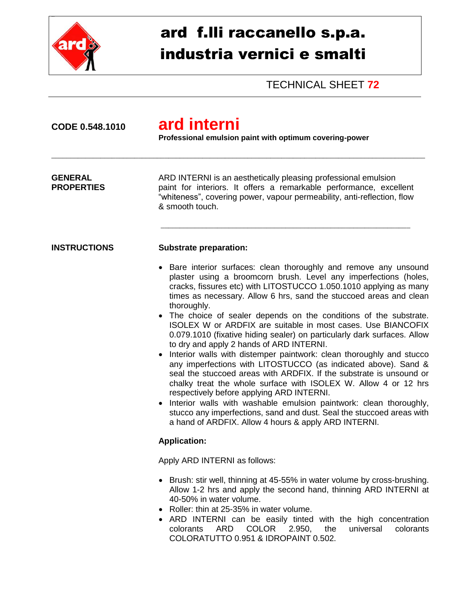

## ard f.lli raccanello s.p.a. industria vernici e smalti

TECHNICAL SHEET **72**

| CODE 0.548.1010                     | ard interni<br>Professional emulsion paint with optimum covering-power                                                                                                                                                                                                                                                                                                                                                                                                                                                                                                                                                                                                                                                                                                                                                                                                                                                                                                                                                                                                                                  |  |  |
|-------------------------------------|---------------------------------------------------------------------------------------------------------------------------------------------------------------------------------------------------------------------------------------------------------------------------------------------------------------------------------------------------------------------------------------------------------------------------------------------------------------------------------------------------------------------------------------------------------------------------------------------------------------------------------------------------------------------------------------------------------------------------------------------------------------------------------------------------------------------------------------------------------------------------------------------------------------------------------------------------------------------------------------------------------------------------------------------------------------------------------------------------------|--|--|
| <b>GENERAL</b><br><b>PROPERTIES</b> | ARD INTERNI is an aesthetically pleasing professional emulsion<br>paint for interiors. It offers a remarkable performance, excellent<br>"whiteness", covering power, vapour permeability, anti-reflection, flow<br>& smooth touch.                                                                                                                                                                                                                                                                                                                                                                                                                                                                                                                                                                                                                                                                                                                                                                                                                                                                      |  |  |
| <b>INSTRUCTIONS</b>                 | <b>Substrate preparation:</b>                                                                                                                                                                                                                                                                                                                                                                                                                                                                                                                                                                                                                                                                                                                                                                                                                                                                                                                                                                                                                                                                           |  |  |
|                                     | • Bare interior surfaces: clean thoroughly and remove any unsound<br>plaster using a broomcorn brush. Level any imperfections (holes,<br>cracks, fissures etc) with LITOSTUCCO 1.050.1010 applying as many<br>times as necessary. Allow 6 hrs, sand the stuccoed areas and clean<br>thoroughly.<br>• The choice of sealer depends on the conditions of the substrate.<br>ISOLEX W or ARDFIX are suitable in most cases. Use BIANCOFIX<br>0.079.1010 (fixative hiding sealer) on particularly dark surfaces. Allow<br>to dry and apply 2 hands of ARD INTERNI.<br>Interior walls with distemper paintwork: clean thoroughly and stucco<br>any imperfections with LITOSTUCCO (as indicated above). Sand &<br>seal the stuccoed areas with ARDFIX. If the substrate is unsound or<br>chalky treat the whole surface with ISOLEX W. Allow 4 or 12 hrs<br>respectively before applying ARD INTERNI.<br>• Interior walls with washable emulsion paintwork: clean thoroughly,<br>stucco any imperfections, sand and dust. Seal the stuccoed areas with<br>a hand of ARDFIX. Allow 4 hours & apply ARD INTERNI. |  |  |
|                                     | <b>Application:</b>                                                                                                                                                                                                                                                                                                                                                                                                                                                                                                                                                                                                                                                                                                                                                                                                                                                                                                                                                                                                                                                                                     |  |  |
|                                     | Apply ARD INTERNI as follows:                                                                                                                                                                                                                                                                                                                                                                                                                                                                                                                                                                                                                                                                                                                                                                                                                                                                                                                                                                                                                                                                           |  |  |
|                                     | • Brush: stir well, thinning at 45-55% in water volume by cross-brushing.<br>Allow 1-2 hrs and apply the second hand, thinning ARD INTERNI at<br>40-50% in water volume.<br>Roller: thin at 25-35% in water volume.<br>ARD INTERNI can be easily tinted with the high concentration<br><b>COLOR</b><br>2.950,<br>universal<br>ARD<br>the<br>colorants<br>colorants<br>COLORATUTTO 0.951 & IDROPAINT 0.502.                                                                                                                                                                                                                                                                                                                                                                                                                                                                                                                                                                                                                                                                                              |  |  |